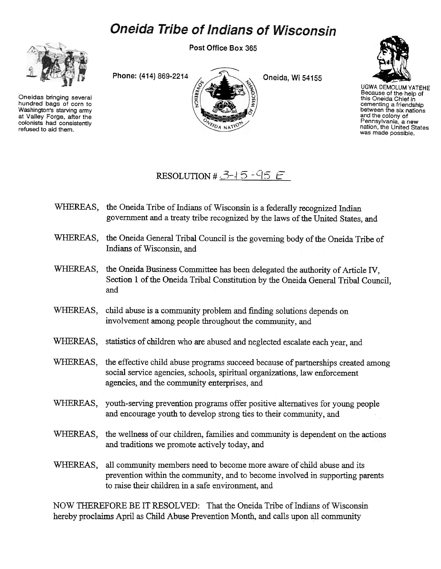## **Oneida Tribe of Indians of Wisconsin**



Oneidas bringing several hundred bags of corn to Washington's starving army at Valley Forge, after the colonists had consistently refused to aid them.





UGWA DEMOLUM YATEHE Because of the help of this Oneida Chief in cementing a friendship between the six nations and the colony of Pennsylvania, a new nation, the United States was made possible.

## RESOLUTION #  $3-15-95E$

- WHEREAS, the Oneida Tribe of Indians of Wisconsin is a federally recognized Indian government and a treaty tribe recognized by the laws of the United States, and
- WHEREAS, the Oneida General Tribal Council is the governing body of the Oneida Tribe of Indians of Wisconsin, and
- WHEREAS, the Oneida Business Committee has been delegated the authority of Article IV, Section 1 of the Oneida Tribal Constitution by the Oneida General Tribal Council, and
- WHEREAS, child abuse is a community problem and finding solutions depends on involvement among people throughout the community, and
- WHEREAS, statistics of children who are abused and neglected escalate each year, and
- WHEREAS, the effective child abuse programs succeed because of partnerships created among social service agencies, schools, spiritual organizations, law enforcement agencies, and the community enterprises, and
- WHEREAS, youth-serving prevention programs offer positive alternatives for young people and encourage youth to develop strong ties to their community, and
- WHEREAS, the wellness of our children, families and community is dependent on the actions and traditions we promote actively today, and
- WHEREAS, all community members need to become more aware of child abuse and its prevention within the community, and to become involved in supporting parents to raise their children in a safe environment, and

NOW THEREFORE BE IT RESOLVED: That the Oneida Tribe of Indians of Wisconsin hereby proclaims April as Child Abuse Prevention Month, and calls upon all community